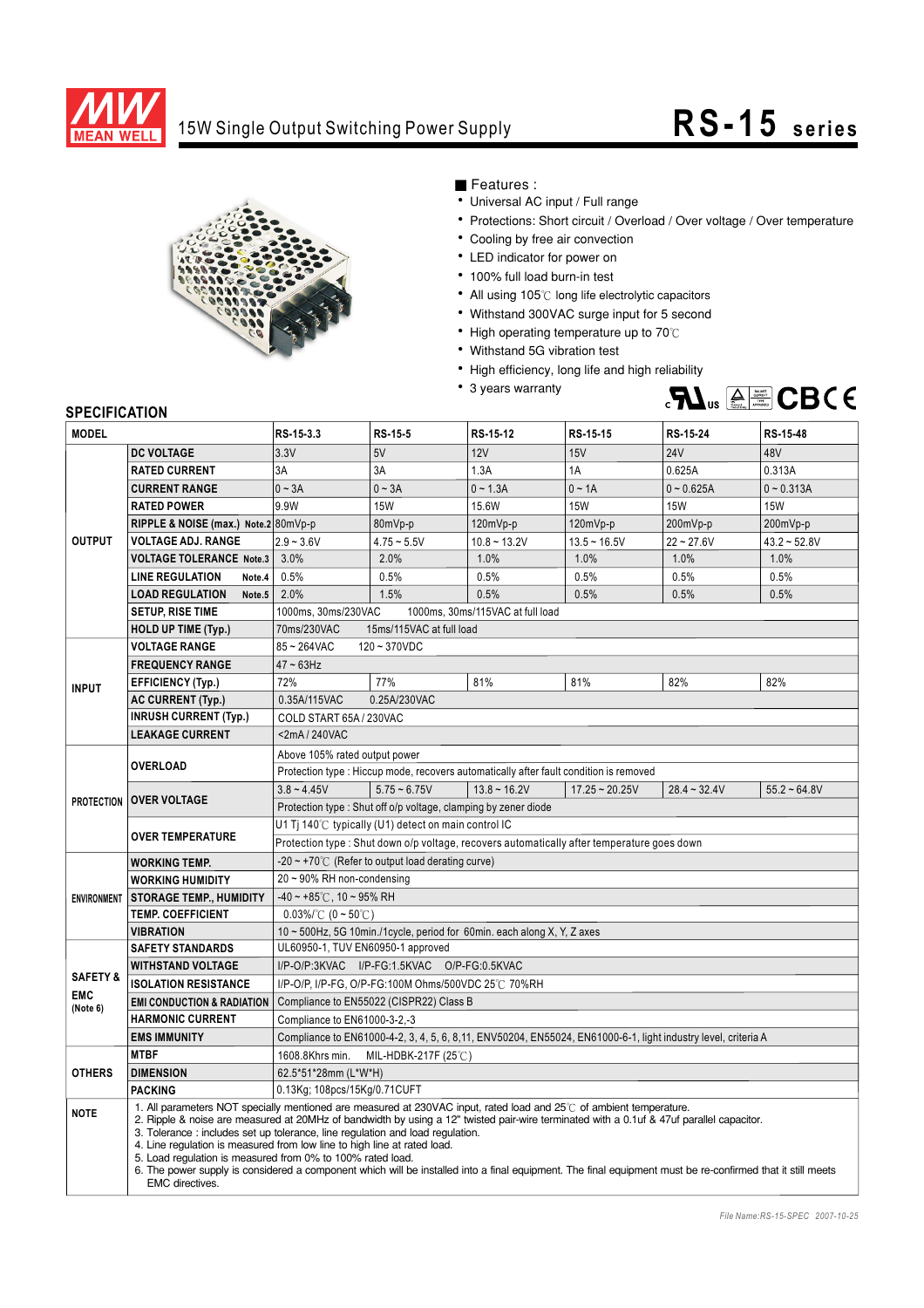

## 15W Single Output Switching Power Supply **RS-15** series



■ Features :

- Universal AC input / Full range
- Protections: Short circuit / Overload / Over voltage / Over temperature
- Cooling by free air convection
- LED indicator for power on
- 100% full load burn-in test
- All using 105℃ long life electrolytic capacitors
- Withstand 300VAC surge input for 5 second
- High operating temperature up to 70℃
- Withstand 5G vibration test
- High efficiency, long life and high reliability
- 3 years warranty



## **SPECIFICATION**

| <b>MODEL</b>                                  |                                                                                                                                                                                                                                                                                                                                                                                                                                                                                                                                                                                                                                                                                    | RS-15-3.3                                                                                                      | RS-15-5        | RS-15-12          | RS-15-15         | RS-15-24       | RS-15-48          |
|-----------------------------------------------|------------------------------------------------------------------------------------------------------------------------------------------------------------------------------------------------------------------------------------------------------------------------------------------------------------------------------------------------------------------------------------------------------------------------------------------------------------------------------------------------------------------------------------------------------------------------------------------------------------------------------------------------------------------------------------|----------------------------------------------------------------------------------------------------------------|----------------|-------------------|------------------|----------------|-------------------|
|                                               | <b>DC VOLTAGE</b>                                                                                                                                                                                                                                                                                                                                                                                                                                                                                                                                                                                                                                                                  | 3.3V                                                                                                           | 5V             | 12V               | 15V              | <b>24V</b>     | 48V               |
| <b>OUTPUT</b>                                 | <b>RATED CURRENT</b>                                                                                                                                                                                                                                                                                                                                                                                                                                                                                                                                                                                                                                                               | 3A                                                                                                             | 3A             | 1.3A              | 1A               | 0.625A         | 0.313A            |
|                                               | <b>CURRENT RANGE</b>                                                                                                                                                                                                                                                                                                                                                                                                                                                                                                                                                                                                                                                               | $0 \sim 3A$                                                                                                    | $0 - 3A$       | $0 - 1.3A$        | $0 - 1A$         | $0 - 0.625A$   | $0 - 0.313A$      |
|                                               | <b>RATED POWER</b>                                                                                                                                                                                                                                                                                                                                                                                                                                                                                                                                                                                                                                                                 | 9.9W                                                                                                           | <b>15W</b>     | 15.6W             | <b>15W</b>       | <b>15W</b>     | <b>15W</b>        |
|                                               | RIPPLE & NOISE (max.) Note.2 80mVp-p                                                                                                                                                                                                                                                                                                                                                                                                                                                                                                                                                                                                                                               |                                                                                                                | 80mVp-p        | 120mVp-p          | 120mVp-p         | 200mVp-p       | 200mVp-p          |
|                                               | <b>VOLTAGE ADJ. RANGE</b>                                                                                                                                                                                                                                                                                                                                                                                                                                                                                                                                                                                                                                                          | $2.9 - 3.6V$                                                                                                   | $4.75 - 5.5V$  | $10.8 - 13.2V$    | $13.5 - 16.5V$   | $22 - 27.6V$   | $43.2 - 52.8V$    |
|                                               | <b>VOLTAGE TOLERANCE Note.3</b>                                                                                                                                                                                                                                                                                                                                                                                                                                                                                                                                                                                                                                                    | 3.0%                                                                                                           | 2.0%           | 1.0%              | 1.0%             | 1.0%           | 1.0%              |
|                                               | <b>LINE REGULATION</b><br>Note.4                                                                                                                                                                                                                                                                                                                                                                                                                                                                                                                                                                                                                                                   | 0.5%                                                                                                           | 0.5%           | 0.5%              | 0.5%             | 0.5%           | 0.5%              |
|                                               | <b>LOAD REGULATION</b><br>Note.5                                                                                                                                                                                                                                                                                                                                                                                                                                                                                                                                                                                                                                                   | 2.0%                                                                                                           | 1.5%           | 0.5%              | 0.5%             | 0.5%           | 0.5%              |
|                                               | <b>SETUP, RISE TIME</b>                                                                                                                                                                                                                                                                                                                                                                                                                                                                                                                                                                                                                                                            | 1000ms, 30ms/230VAC<br>1000ms, 30ms/115VAC at full load                                                        |                |                   |                  |                |                   |
|                                               | <b>HOLD UP TIME (Typ.)</b>                                                                                                                                                                                                                                                                                                                                                                                                                                                                                                                                                                                                                                                         | 70ms/230VAC<br>15ms/115VAC at full load                                                                        |                |                   |                  |                |                   |
| <b>INPUT</b>                                  | <b>VOLTAGE RANGE</b>                                                                                                                                                                                                                                                                                                                                                                                                                                                                                                                                                                                                                                                               | 85~264VAC<br>$120 - 370VDC$                                                                                    |                |                   |                  |                |                   |
|                                               | <b>FREQUENCY RANGE</b>                                                                                                                                                                                                                                                                                                                                                                                                                                                                                                                                                                                                                                                             | $47 - 63$ Hz                                                                                                   |                |                   |                  |                |                   |
|                                               | <b>EFFICIENCY (Typ.)</b>                                                                                                                                                                                                                                                                                                                                                                                                                                                                                                                                                                                                                                                           | 72%                                                                                                            | 77%            | 81%               | 81%              | 82%            | 82%               |
|                                               | AC CURRENT (Typ.)                                                                                                                                                                                                                                                                                                                                                                                                                                                                                                                                                                                                                                                                  | 0.35A/115VAC                                                                                                   | 0.25A/230VAC   |                   |                  |                |                   |
|                                               | <b>INRUSH CURRENT (Typ.)</b>                                                                                                                                                                                                                                                                                                                                                                                                                                                                                                                                                                                                                                                       | COLD START 65A / 230VAC                                                                                        |                |                   |                  |                |                   |
|                                               | <b>LEAKAGE CURRENT</b>                                                                                                                                                                                                                                                                                                                                                                                                                                                                                                                                                                                                                                                             | <2mA/240VAC                                                                                                    |                |                   |                  |                |                   |
|                                               | <b>OVERLOAD</b>                                                                                                                                                                                                                                                                                                                                                                                                                                                                                                                                                                                                                                                                    | Above 105% rated output power                                                                                  |                |                   |                  |                |                   |
|                                               |                                                                                                                                                                                                                                                                                                                                                                                                                                                                                                                                                                                                                                                                                    | Protection type : Hiccup mode, recovers automatically after fault condition is removed                         |                |                   |                  |                |                   |
|                                               | <b>PROTECTION   OVER VOLTAGE</b>                                                                                                                                                                                                                                                                                                                                                                                                                                                                                                                                                                                                                                                   | $3.8 - 4.45V$                                                                                                  | $5.75 - 6.75V$ | $13.8 \sim 16.2V$ | $17.25 - 20.25V$ | $28.4 - 32.4V$ | $55.2 \div 64.8V$ |
|                                               |                                                                                                                                                                                                                                                                                                                                                                                                                                                                                                                                                                                                                                                                                    | Protection type: Shut off o/p voltage, clamping by zener diode                                                 |                |                   |                  |                |                   |
|                                               | <b>OVER TEMPERATURE</b>                                                                                                                                                                                                                                                                                                                                                                                                                                                                                                                                                                                                                                                            | U1 Tj 140°C typically (U1) detect on main control IC                                                           |                |                   |                  |                |                   |
|                                               |                                                                                                                                                                                                                                                                                                                                                                                                                                                                                                                                                                                                                                                                                    | Protection type : Shut down o/p voltage, recovers automatically after temperature goes down                    |                |                   |                  |                |                   |
| <b>ENVIRONMENT</b>                            | <b>WORKING TEMP.</b>                                                                                                                                                                                                                                                                                                                                                                                                                                                                                                                                                                                                                                                               | $-20 \sim +70^{\circ}$ (Refer to output load derating curve)                                                   |                |                   |                  |                |                   |
|                                               | <b>WORKING HUMIDITY</b>                                                                                                                                                                                                                                                                                                                                                                                                                                                                                                                                                                                                                                                            | 20~90% RH non-condensing                                                                                       |                |                   |                  |                |                   |
|                                               | <b>STORAGE TEMP., HUMIDITY</b>                                                                                                                                                                                                                                                                                                                                                                                                                                                                                                                                                                                                                                                     | $-40 \sim +85^{\circ}$ C, 10 ~ 95% RH                                                                          |                |                   |                  |                |                   |
|                                               | <b>TEMP. COEFFICIENT</b>                                                                                                                                                                                                                                                                                                                                                                                                                                                                                                                                                                                                                                                           | $0.03\%$ (0 ~ 50°C)                                                                                            |                |                   |                  |                |                   |
|                                               | <b>VIBRATION</b>                                                                                                                                                                                                                                                                                                                                                                                                                                                                                                                                                                                                                                                                   | 10 ~ 500Hz, 5G 10min./1cycle, period for 60min. each along X, Y, Z axes                                        |                |                   |                  |                |                   |
| <b>SAFETY &amp;</b><br><b>EMC</b><br>(Note 6) | <b>SAFETY STANDARDS</b>                                                                                                                                                                                                                                                                                                                                                                                                                                                                                                                                                                                                                                                            | UL60950-1, TUV EN60950-1 approved                                                                              |                |                   |                  |                |                   |
|                                               | <b>WITHSTAND VOLTAGE</b>                                                                                                                                                                                                                                                                                                                                                                                                                                                                                                                                                                                                                                                           | I/P-O/P:3KVAC I/P-FG:1.5KVAC O/P-FG:0.5KVAC                                                                    |                |                   |                  |                |                   |
|                                               | <b>ISOLATION RESISTANCE</b>                                                                                                                                                                                                                                                                                                                                                                                                                                                                                                                                                                                                                                                        | I/P-O/P, I/P-FG, O/P-FG:100M Ohms/500VDC 25℃ 70%RH                                                             |                |                   |                  |                |                   |
|                                               | <b>EMI CONDUCTION &amp; RADIATION</b>                                                                                                                                                                                                                                                                                                                                                                                                                                                                                                                                                                                                                                              | Compliance to EN55022 (CISPR22) Class B                                                                        |                |                   |                  |                |                   |
|                                               | <b>HARMONIC CURRENT</b>                                                                                                                                                                                                                                                                                                                                                                                                                                                                                                                                                                                                                                                            | Compliance to EN61000-3-2,-3                                                                                   |                |                   |                  |                |                   |
|                                               | <b>EMS IMMUNITY</b>                                                                                                                                                                                                                                                                                                                                                                                                                                                                                                                                                                                                                                                                | Compliance to EN61000-4-2, 3, 4, 5, 6, 8, 11, ENV50204, EN55024, EN61000-6-1, light industry level, criteria A |                |                   |                  |                |                   |
| <b>OTHERS</b>                                 | <b>MTBF</b>                                                                                                                                                                                                                                                                                                                                                                                                                                                                                                                                                                                                                                                                        | 1608.8Khrs min.<br>MIL-HDBK-217F (25 $\degree$ C)                                                              |                |                   |                  |                |                   |
|                                               | <b>DIMENSION</b>                                                                                                                                                                                                                                                                                                                                                                                                                                                                                                                                                                                                                                                                   | 62.5*51*28mm (L*W*H)                                                                                           |                |                   |                  |                |                   |
|                                               | <b>PACKING</b>                                                                                                                                                                                                                                                                                                                                                                                                                                                                                                                                                                                                                                                                     | 0.13Kg; 108pcs/15Kg/0.71CUFT                                                                                   |                |                   |                  |                |                   |
| <b>NOTE</b>                                   | 1. All parameters NOT specially mentioned are measured at 230VAC input, rated load and 25°C of ambient temperature.<br>2. Ripple & noise are measured at 20MHz of bandwidth by using a 12" twisted pair-wire terminated with a 0.1uf & 47uf parallel capacitor.<br>3. Tolerance: includes set up tolerance, line regulation and load regulation.<br>4. Line regulation is measured from low line to high line at rated load.<br>5. Load regulation is measured from 0% to 100% rated load.<br>6. The power supply is considered a component which will be installed into a final equipment. The final equipment must be re-confirmed that it still meets<br><b>EMC</b> directives. |                                                                                                                |                |                   |                  |                |                   |